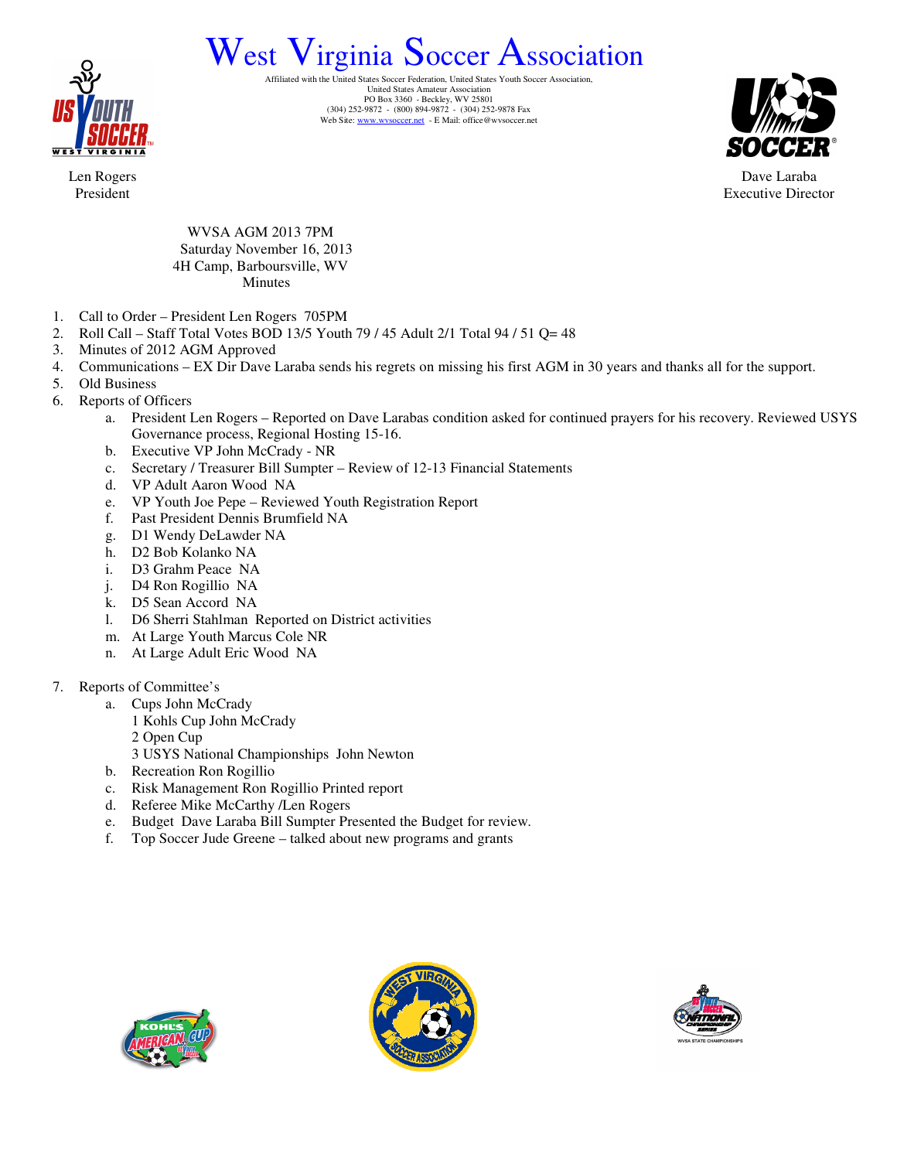

## West Virginia Soccer Association

Affiliated with the United States Soccer Federation, United States Youth Soccer Association, United States Amateur Association PO Box 3360 - Beckley, WV 25801 (304) 252-9872 - (800) 894-9872 - (304) 252-9878 Fax<br>Web Site: www.wvsoccer.net - E Mail: office@wvsoccer.net



Dave Laraba Executive Director

Len Rogers President

> WVSA AGM 2013 7PM Saturday November 16, 2013 4H Camp, Barboursville, WV Minutes

- 1. Call to Order President Len Rogers 705PM
- 2. Roll Call Staff Total Votes BOD 13/5 Youth 79 / 45 Adult 2/1 Total 94 / 51 Q= 48
- 3. Minutes of 2012 AGM Approved
- 4. Communications EX Dir Dave Laraba sends his regrets on missing his first AGM in 30 years and thanks all for the support.
- 5. Old Business
- 6. Reports of Officers
	- a. President Len Rogers Reported on Dave Larabas condition asked for continued prayers for his recovery. Reviewed USYS Governance process, Regional Hosting 15-16.
	- b. Executive VP John McCrady NR
	- c. Secretary / Treasurer Bill Sumpter Review of 12-13 Financial Statements
	- d. VP Adult Aaron Wood NA
	- e. VP Youth Joe Pepe Reviewed Youth Registration Report
	- f. Past President Dennis Brumfield NA
	- g. D1 Wendy DeLawder NA
	- h. D2 Bob Kolanko NA
	- i. D3 Grahm Peace NA
	- j. D4 Ron Rogillio NA
	- k. D5 Sean Accord NA
	- l. D6 Sherri Stahlman Reported on District activities
	- m. At Large Youth Marcus Cole NR
	- n. At Large Adult Eric Wood NA
- 7. Reports of Committee's
	- a. Cups John McCrady
		- 1 Kohls Cup John McCrady
		- 2 Open Cup
		- 3 USYS National Championships John Newton
	- b. Recreation Ron Rogillio
	- c. Risk Management Ron Rogillio Printed report
	- d. Referee Mike McCarthy /Len Rogers
	- e. Budget Dave Laraba Bill Sumpter Presented the Budget for review.
	- f. Top Soccer Jude Greene talked about new programs and grants





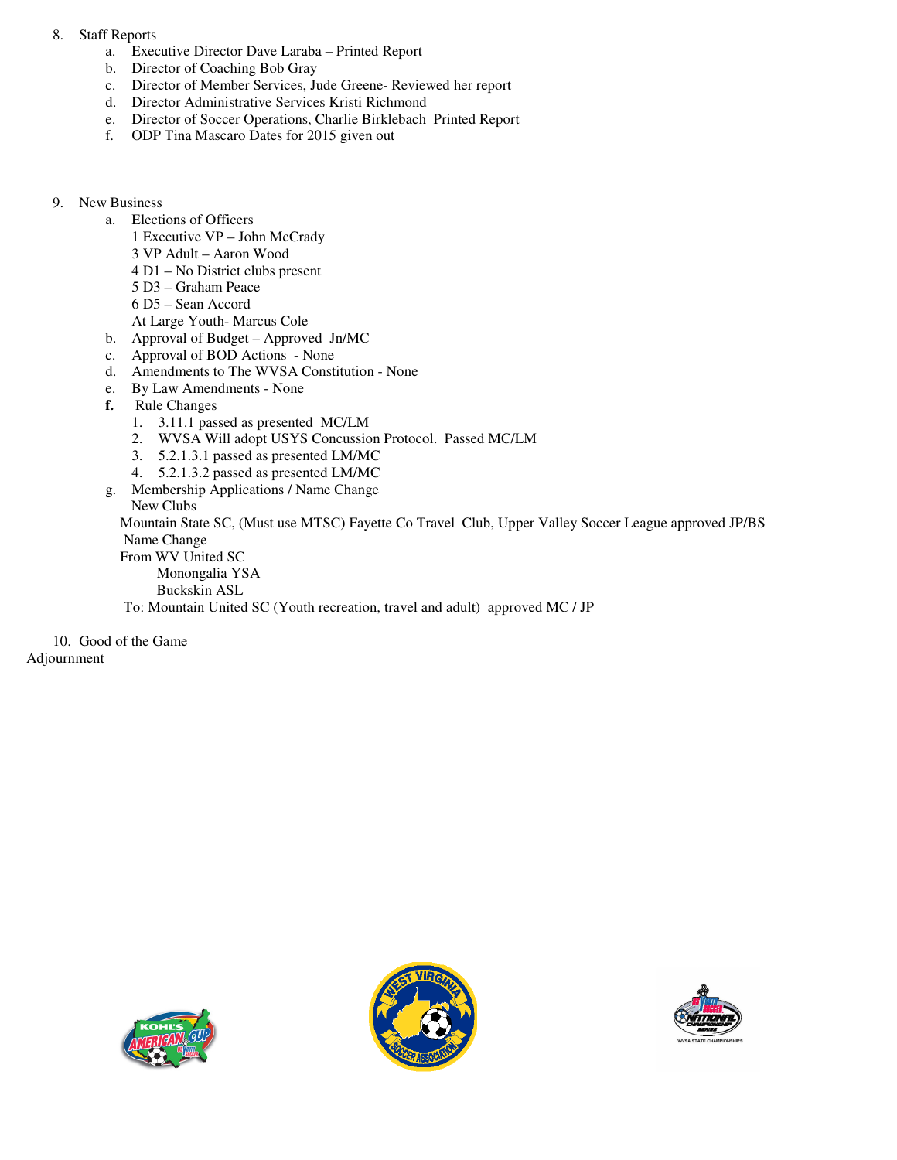## 8. Staff Reports

- a. Executive Director Dave Laraba Printed Report
- b. Director of Coaching Bob Gray
- c. Director of Member Services, Jude Greene- Reviewed her report
- d. Director Administrative Services Kristi Richmond
- e. Director of Soccer Operations, Charlie Birklebach Printed Report
- f. ODP Tina Mascaro Dates for 2015 given out

## 9. New Business

- a. Elections of Officers
	- 1 Executive VP John McCrady
	- 3 VP Adult Aaron Wood
	- 4 D1 No District clubs present
	- 5 D3 Graham Peace
	- 6 D5 Sean Accord
	- At Large Youth- Marcus Cole
- b. Approval of Budget Approved Jn/MC
- c. Approval of BOD Actions None
- d. Amendments to The WVSA Constitution None
- e. By Law Amendments None
- **f.** Rule Changes
	- 1. 3.11.1 passed as presented MC/LM
	- 2. WVSA Will adopt USYS Concussion Protocol. Passed MC/LM
	- 3. 5.2.1.3.1 passed as presented LM/MC
	- 4. 5.2.1.3.2 passed as presented LM/MC
- g. Membership Applications / Name Change

New Clubs

 Mountain State SC, (Must use MTSC) Fayette Co Travel Club, Upper Valley Soccer League approved JP/BS Name Change

- From WV United SC Monongalia YSA
	- Buckskin ASL
- To: Mountain United SC (Youth recreation, travel and adult) approved MC / JP

10. Good of the Game

Adjournment